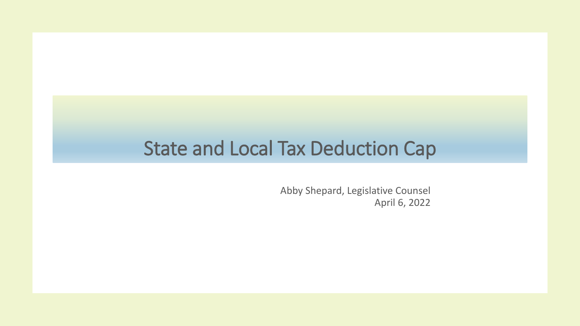#### State and Local Tax Deduction Cap

Abby Shepard, Legislative Counsel April 6, 2022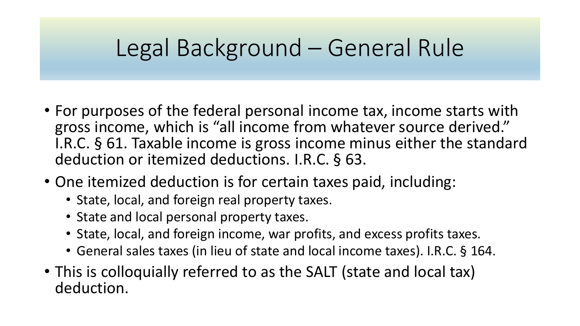### Legal Background – General Rule

- For purposes of the federal personal income tax, income starts with gross income, which is "all income from whatever source derived." I.R.C. § 61. Taxable income is gross income minus either the standard deduction or itemized deductions. I.R.C. § 63.
- One itemized deduction is for certain taxes paid, including:
	- State, local, and foreign real property taxes.
	- State and local personal property taxes.
	- State, local, and foreign income, war profits, and excess profits taxes.
	- General sales taxes (in lieu of state and local income taxes). I.R.C. § 164.
- This is colloquially referred to as the SALT (state and local tax) deduction.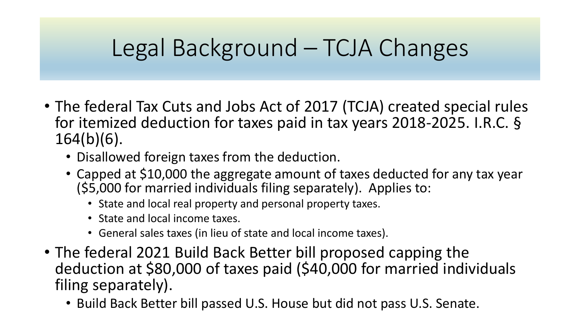## Legal Background – TCJA Changes

- The federal Tax Cuts and Jobs Act of 2017 (TCJA) created special rules for itemized deduction for taxes paid in tax years 2018-2025. I.R.C. § 164(b)(6).
	- Disallowed foreign taxes from the deduction.
	- Capped at \$10,000 the aggregate amount of taxes deducted for any tax year (\$5,000 for married individuals filing separately). Applies to:
		- State and local real property and personal property taxes.
		- State and local income taxes.
		- General sales taxes (in lieu of state and local income taxes).
- The federal 2021 Build Back Better bill proposed capping the deduction at \$80,000 of taxes paid (\$40,000 for married individuals filing separately).
	- Build Back Better bill passed U.S. House but did not pass U.S. Senate.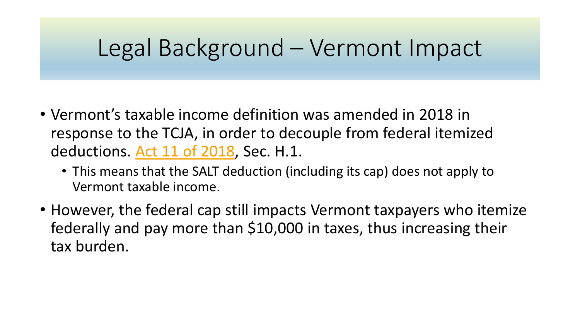#### Legal Background – Vermont Impact

- Vermont's taxable income definition was amended in 2018 in response to the TCJA, in order to decouple from federal itemized deductions. [Act 11 of 2018](https://legislature.vermont.gov/Documents/2018.1/Docs/ACTS/ACT011/ACT011%20As%20Enacted.pdf), Sec. H.1.
	- This means that the SALT deduction (including its cap) does not apply to Vermont taxable income.
- However, the federal cap still impacts Vermont taxpayers who itemize federally and pay more than \$10,000 in taxes, thus increasing their tax burden.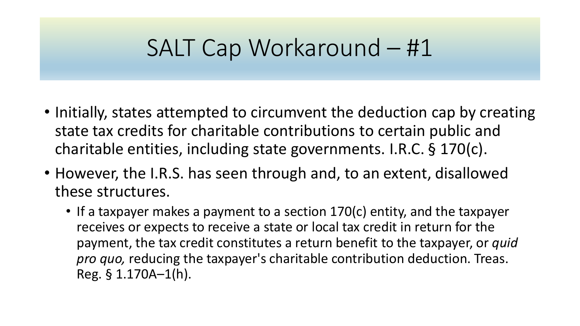### SALT Cap Workaround – #1

- Initially, states attempted to circumvent the deduction cap by creating state tax credits for charitable contributions to certain public and charitable entities, including state governments. I.R.C. § 170(c).
- However, the I.R.S. has seen through and, to an extent, disallowed these structures.
	- If a taxpayer makes a payment to a section 170(c) entity, and the taxpayer receives or expects to receive a state or local tax credit in return for the payment, the tax credit constitutes a return benefit to the taxpayer, or *quid pro quo,* reducing the taxpayer's charitable contribution deduction. Treas. Reg. § 1.170A–1(h).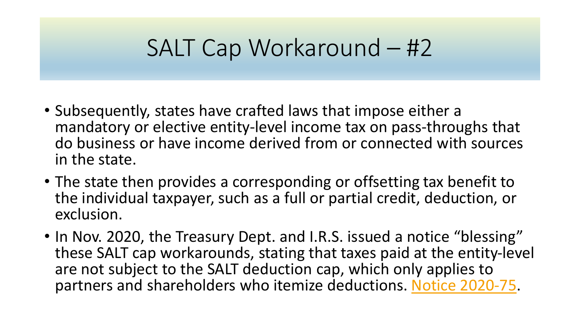## SALT Cap Workaround – #2

- Subsequently, states have crafted laws that impose either a mandatory or elective entity-level income tax on pass-throughs that do business or have income derived from or connected with sources in the state.
- The state then provides a corresponding or offsetting tax benefit to the individual taxpayer, such as a full or partial credit, deduction, or exclusion.
- In Nov. 2020, the Treasury Dept. and I.R.S. issued a notice "blessing" these SALT cap workarounds, stating that taxes paid at the entity-level are not subject to the SALT deduction cap, which only applies to partners and shareholders who itemize deductions. [Notice 2020-75](https://www.irs.gov/pub/irs-drop/n-20-75.pdf).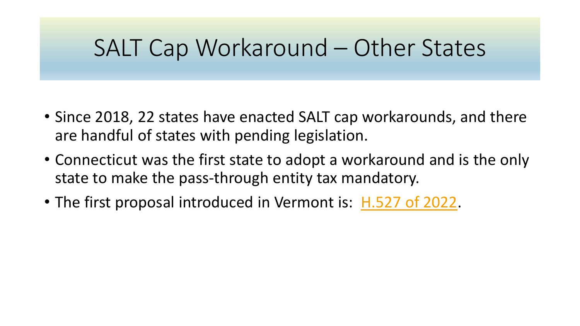### SALT Cap Workaround – Other States

- Since 2018, 22 states have enacted SALT cap workarounds, and there are handful of states with pending legislation.
- Connecticut was the first state to adopt a workaround and is the only state to make the pass-through entity tax mandatory.
- The first proposal introduced in Vermont is: [H.527 of 2022](https://legislature.vermont.gov/Documents/2022/Docs/BILLS/H-0527/H-0527%20As%20Introduced.pdf).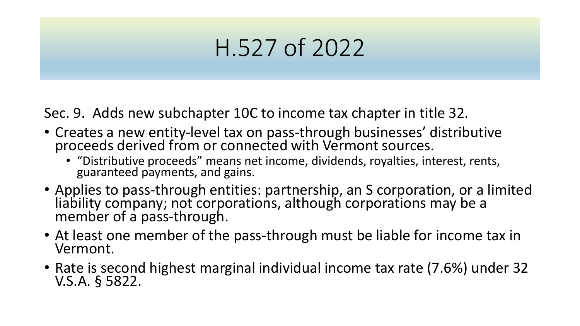Sec. 9. Adds new subchapter 10C to income tax chapter in title 32.

- Creates a new entity-level tax on pass-through businesses' distributive proceeds derived from or connected with Vermont sources.
	- "Distributive proceeds" means net income, dividends, royalties, interest, rents, guaranteed payments, and gains.
- Applies to pass-through entities: partnership, an S corporation, or a limited liability company; not corporations, although corporations may be a member of a pass-through.
- At least one member of the pass-through must be liable for income tax in Vermont.
- Rate is second highest marginal individual income tax rate (7.6%) under 32 V.S.A. § 5822.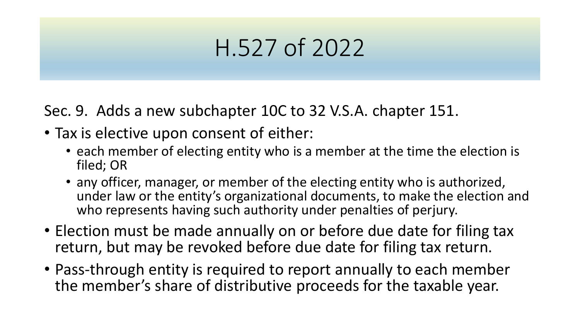Sec. 9. Adds a new subchapter 10C to 32 V.S.A. chapter 151.

- Tax is elective upon consent of either:
	- each member of electing entity who is a member at the time the election is filed; OR
	- any officer, manager, or member of the electing entity who is authorized, under law or the entity's organizational documents, to make the election and who represents having such authority under penalties of perjury.
- Election must be made annually on or before due date for filing tax return, but may be revoked before due date for filing tax return.
- Pass-through entity is required to report annually to each member the member's share of distributive proceeds for the taxable year.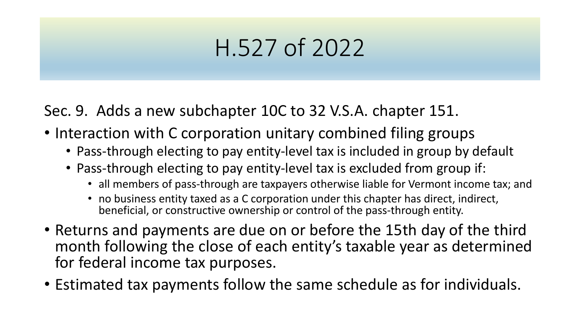Sec. 9. Adds a new subchapter 10C to 32 V.S.A. chapter 151.

- Interaction with C corporation unitary combined filing groups
	- Pass-through electing to pay entity-level tax is included in group by default
	- Pass-through electing to pay entity-level tax is excluded from group if:
		- all members of pass-through are taxpayers otherwise liable for Vermont income tax; and
		- no business entity taxed as a C corporation under this chapter has direct, indirect, beneficial, or constructive ownership or control of the pass-through entity.
- Returns and payments are due on or before the 15th day of the third month following the close of each entity's taxable year as determined for federal income tax purposes.
- Estimated tax payments follow the same schedule as for individuals.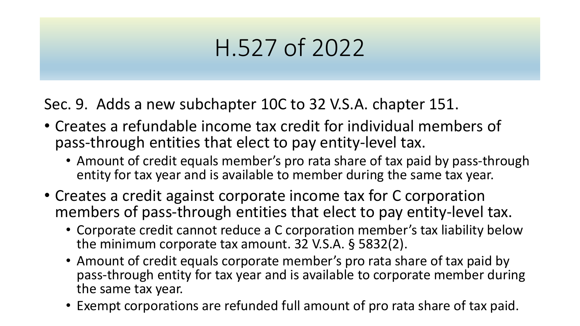Sec. 9. Adds a new subchapter 10C to 32 V.S.A. chapter 151.

- Creates a refundable income tax credit for individual members of pass-through entities that elect to pay entity-level tax.
	- Amount of credit equals member's pro rata share of tax paid by pass-through entity for tax year and is available to member during the same tax year.
- Creates a credit against corporate income tax for C corporation members of pass-through entities that elect to pay entity-level tax.
	- Corporate credit cannot reduce a C corporation member's tax liability below the minimum corporate tax amount. 32 V.S.A. § 5832(2).
	- Amount of credit equals corporate member's pro rata share of tax paid by pass-through entity for tax year and is available to corporate member during the same tax year.
	- Exempt corporations are refunded full amount of pro rata share of tax paid.